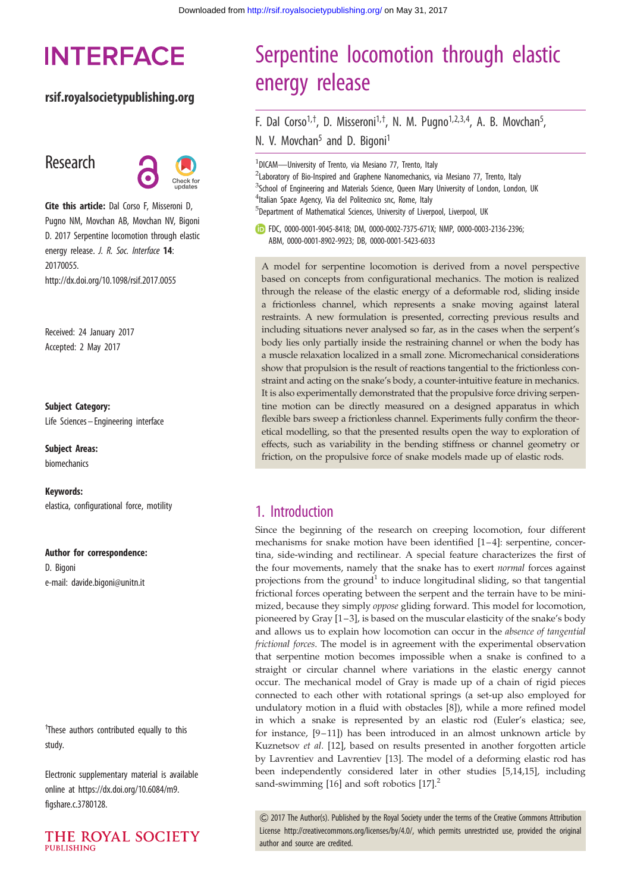# **INTERFACE**

## rsif.royalsocietypublishing.org

# Research



Cite this article: Dal Corso F, Misseroni D, Pugno NM, Movchan AB, Movchan NV, Bigoni D. 2017 Serpentine locomotion through elastic energy release. J. R. Soc. Interface 14: 20170055. http://dx.doi.org/10.1098/rsif.2017.0055

Received: 24 January 2017 Accepted: 2 May 2017

#### Subject Category:

Life Sciences – Engineering interface

Subject Areas: biomechanics

Keywords: elastica, configurational force, motility

#### Author for correspondence:

D. Bigoni e-mail: [davide.bigoni@unitn.it](mailto:davide.bigoni@unitn.it)

<sup>†</sup>These authors contributed equally to this study.

Electronic supplementary material is available online at [https://dx.doi.org/10.6084/m9.](https://dx.doi.org/10.6084/m9.figshare.c.3780128) [figshare.c.3780128](https://dx.doi.org/10.6084/m9.figshare.c.3780128).



# Serpentine locomotion through elastic energy release

F. Dal Corso<sup>1,†</sup>, D. Misseroni<sup>1,†</sup>, N. M. Pugno<sup>1,2,3,4</sup>, A. B. Movchan<sup>5</sup>, .<br>,

N. V. Movchan<sup>5</sup> and D. Bigoni<sup>1</sup>

1 DICAM—University of Trento, via Mesiano 77, Trento, Italy

<sup>2</sup>Laboratory of Bio-Inspired and Graphene Nanomechanics, via Mesiano 77, Trento, Italy <sup>3</sup>School of Engineering and Materials Science, Queen Mary University of London, London, UK 4 Italian Space Agency, Via del Politecnico snc, Rome, Italy

<sup>5</sup>Department of Mathematical Sciences, University of Liverpool, Liverpool, UK

FDC, [0000-0001-9045-8418;](http://orcid.org/0000-0001-9045-8418) DM, [0000-0002-7375-671X;](http://orcid.org/0000-0002-7375-671X) NMP, [0000-0003-2136-2396](http://orcid.org/0000-0003-2136-2396); ABM, [0000-0001-8902-9923](http://orcid.org/0000-0001-8902-9923); DB, [0000-0001-5423-6033](http://orcid.org/0000-0001-5423-6033)

A model for serpentine locomotion is derived from a novel perspective based on concepts from configurational mechanics. The motion is realized through the release of the elastic energy of a deformable rod, sliding inside a frictionless channel, which represents a snake moving against lateral restraints. A new formulation is presented, correcting previous results and including situations never analysed so far, as in the cases when the serpent's body lies only partially inside the restraining channel or when the body has a muscle relaxation localized in a small zone. Micromechanical considerations show that propulsion is the result of reactions tangential to the frictionless constraint and acting on the snake's body, a counter-intuitive feature in mechanics. It is also experimentally demonstrated that the propulsive force driving serpentine motion can be directly measured on a designed apparatus in which flexible bars sweep a frictionless channel. Experiments fully confirm the theoretical modelling, so that the presented results open the way to exploration of effects, such as variability in the bending stiffness or channel geometry or friction, on the propulsive force of snake models made up of elastic rods.

## 1. Introduction

Since the beginning of the research on creeping locomotion, four different mechanisms for snake motion have been identified [[1](#page-11-0)–[4\]](#page-11-0): serpentine, concertina, side-winding and rectilinear. A special feature characterizes the first of the four movements, namely that the snake has to exert normal forces against projections from the ground<sup>1</sup> to induce longitudinal sliding, so that tangential frictional forces operating between the serpent and the terrain have to be minimized, because they simply oppose gliding forward. This model for locomotion, pioneered by Gray [\[1](#page-11-0)–[3](#page-11-0)], is based on the muscular elasticity of the snake's body and allows us to explain how locomotion can occur in the absence of tangential frictional forces. The model is in agreement with the experimental observation that serpentine motion becomes impossible when a snake is confined to a straight or circular channel where variations in the elastic energy cannot occur. The mechanical model of Gray is made up of a chain of rigid pieces connected to each other with rotational springs (a set-up also employed for undulatory motion in a fluid with obstacles [[8](#page-11-0)]), while a more refined model in which a snake is represented by an elastic rod (Euler's elastica; see, for instance, [[9](#page-11-0) –[11\]](#page-11-0)) has been introduced in an almost unknown article by Kuznetsov et al. [\[12](#page-11-0)], based on results presented in another forgotten article by Lavrentiev and Lavrentiev [[13\]](#page-11-0). The model of a deforming elastic rod has been independently considered later in other studies [\[5,14,15](#page-11-0)], including sand-swimming [[16\]](#page-11-0) and soft robotics  $[17]<sup>2</sup>$  $[17]<sup>2</sup>$ 

& 2017 The Author(s). Published by the Royal Society under the terms of the Creative Commons Attribution License [http://creativecommons.org/licenses/by/4.0/, which permits unrestricted use, provided the original](http://creativecommons.org/licenses/by/4.0/) [author and source are credited.](http://creativecommons.org/licenses/by/4.0/)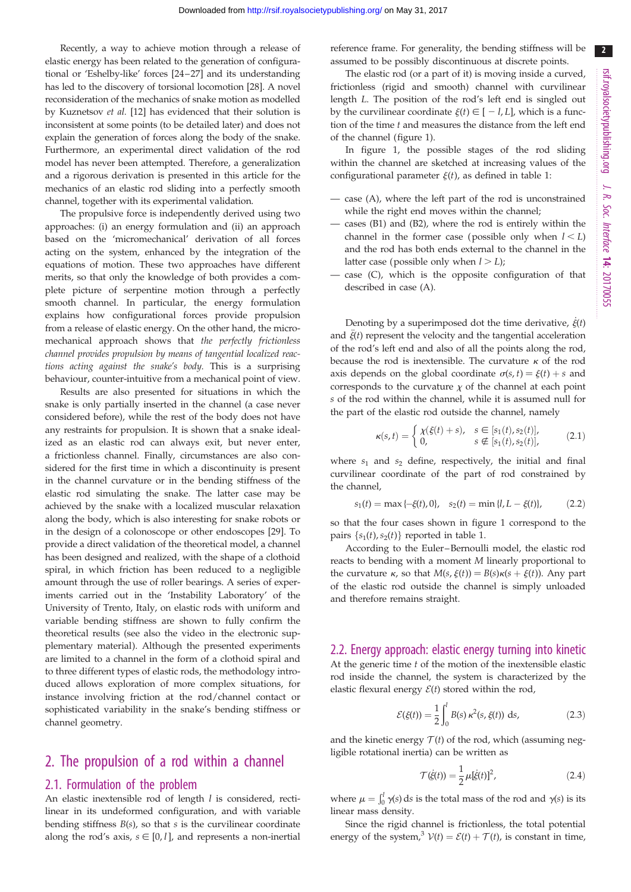Recently, a way to achieve motion through a release of elastic energy has been related to the generation of configurational or 'Eshelby-like' forces [[24](#page-12-0)–[27\]](#page-12-0) and its understanding has led to the discovery of torsional locomotion [[28\]](#page-12-0). A novel reconsideration of the mechanics of snake motion as modelled by Kuznetsov et al. [[12\]](#page-11-0) has evidenced that their solution is inconsistent at some points (to be detailed later) and does not explain the generation of forces along the body of the snake. Furthermore, an experimental direct validation of the rod model has never been attempted. Therefore, a generalization and a rigorous derivation is presented in this article for the mechanics of an elastic rod sliding into a perfectly smooth channel, together with its experimental validation.

The propulsive force is independently derived using two approaches: (i) an energy formulation and (ii) an approach based on the 'micromechanical' derivation of all forces acting on the system, enhanced by the integration of the equations of motion. These two approaches have different merits, so that only the knowledge of both provides a complete picture of serpentine motion through a perfectly smooth channel. In particular, the energy formulation explains how configurational forces provide propulsion from a release of elastic energy. On the other hand, the micromechanical approach shows that the perfectly frictionless channel provides propulsion by means of tangential localized reactions acting against the snake's body. This is a surprising behaviour, counter-intuitive from a mechanical point of view.

Results are also presented for situations in which the snake is only partially inserted in the channel (a case never considered before), while the rest of the body does not have any restraints for propulsion. It is shown that a snake idealized as an elastic rod can always exit, but never enter, a frictionless channel. Finally, circumstances are also considered for the first time in which a discontinuity is present in the channel curvature or in the bending stiffness of the elastic rod simulating the snake. The latter case may be achieved by the snake with a localized muscular relaxation along the body, which is also interesting for snake robots or in the design of a colonoscope or other endoscopes [[29\]](#page-12-0). To provide a direct validation of the theoretical model, a channel has been designed and realized, with the shape of a clothoid spiral, in which friction has been reduced to a negligible amount through the use of roller bearings. A series of experiments carried out in the 'Instability Laboratory' of the University of Trento, Italy, on elastic rods with uniform and variable bending stiffness are shown to fully confirm the theoretical results (see also the video in the electronic supplementary material). Although the presented experiments are limited to a channel in the form of a clothoid spiral and to three different types of elastic rods, the methodology introduced allows exploration of more complex situations, for instance involving friction at the rod/channel contact or sophisticated variability in the snake's bending stiffness or channel geometry.

# 2. The propulsion of a rod within a channel

### 2.1. Formulation of the problem

An elastic inextensible rod of length  $l$  is considered, rectilinear in its undeformed configuration, and with variable bending stiffness  $B(s)$ , so that  $s$  is the curvilinear coordinate along the rod's axis,  $s \in [0, l]$ , and represents a non-inertial reference frame. For generality, the bending stiffness will be assumed to be possibly discontinuous at discrete points.

The elastic rod (or a part of it) is moving inside a curved, frictionless (rigid and smooth) channel with curvilinear length L. The position of the rod's left end is singled out by the curvilinear coordinate  $\xi(t) \in [-l, L]$ , which is a function of the time t and measures the distance from the left end of the channel [\(figure 1\)](#page-2-0).

In [figure 1](#page-2-0), the possible stages of the rod sliding within the channel are sketched at increasing values of the configurational parameter  $\xi(t)$ , as defined in [table 1](#page-2-0):

- case (A), where the left part of the rod is unconstrained while the right end moves within the channel;
- cases (B1) and (B2), where the rod is entirely within the channel in the former case (possible only when  $l < L$ ) and the rod has both ends external to the channel in the latter case (possible only when  $l > L$ );
- case  $(C)$ , which is the opposite configuration of that described in case (A).

Denoting by a superimposed dot the time derivative,  $\dot{\xi}(t)$ and  $\ddot{\xi}(t)$  represent the velocity and the tangential acceleration of the rod's left end and also of all the points along the rod, because the rod is inextensible. The curvature  $\kappa$  of the rod axis depends on the global coordinate  $\sigma(s, t) = \xi(t) + s$  and corresponds to the curvature  $\chi$  of the channel at each point s of the rod within the channel, while it is assumed null for the part of the elastic rod outside the channel, namely

$$
\kappa(s,t) = \begin{cases} \chi(\xi(t) + s), & s \in [s_1(t), s_2(t)], \\ 0, & s \notin [s_1(t), s_2(t)], \end{cases}
$$
 (2.1)

where  $s_1$  and  $s_2$  define, respectively, the initial and final curvilinear coordinate of the part of rod constrained by the channel,

$$
s_1(t) = \max\{-\xi(t), 0\}, \quad s_2(t) = \min\{l, L - \xi(t)\},
$$
 (2.2)

so that the four cases shown in [figure 1](#page-2-0) correspond to the pairs  $\{s_1(t), s_2(t)\}\$  reported in [table 1](#page-2-0).

According to the Euler –Bernoulli model, the elastic rod reacts to bending with a moment M linearly proportional to the curvature  $\kappa$ , so that  $M(s, \xi(t)) = B(s)\kappa(s + \xi(t))$ . Any part of the elastic rod outside the channel is simply unloaded and therefore remains straight.

2.2. Energy approach: elastic energy turning into kinetic At the generic time  $t$  of the motion of the inextensible elastic rod inside the channel, the system is characterized by the elastic flexural energy  $\mathcal{E}(t)$  stored within the rod,

$$
\mathcal{E}(\xi(t)) = \frac{1}{2} \int_0^l B(s) \, \kappa^2(s, \xi(t)) \, \mathrm{d}s,\tag{2.3}
$$

and the kinetic energy  $T(t)$  of the rod, which (assuming negligible rotational inertia) can be written as

$$
\mathcal{T}(\dot{\xi}(t)) = \frac{1}{2}\,\mu[\dot{\xi}(t)]^2,\tag{2.4}
$$

where  $\mu = \int_0^l \gamma(s) ds$  is the total mass of the rod and  $\gamma(s)$  is its linear mass density.

Since the rigid channel is frictionless, the total potential energy of the system,<sup>3</sup>  $V(t) = E(t) + T(t)$ , is constant in time,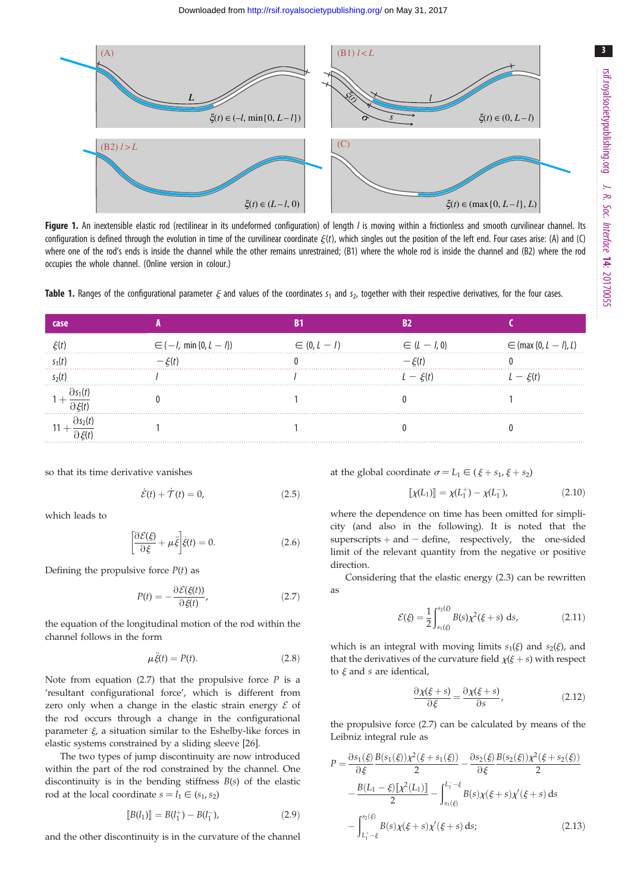3

Downloaded from<http://rsif.royalsocietypublishing.org/>on May 31, 2017

<span id="page-2-0"></span>

Figure 1. An inextensible elastic rod (rectilinear in its undeformed configuration) of length / is moving within a frictionless and smooth curvilinear channel. Its configuration is defined through the evolution in time of the curvilinear coordinate  $\xi(t)$ , which singles out the position of the left end. Four cases arise: (A) and (C) where one of the rod's ends is inside the channel while the other remains unrestrained; (B1) where the whole rod is inside the channel and (B2) where the rod occupies the whole channel. (Online version in colour.)

Table 1. Ranges of the configurational parameter  $\xi$  and values of the coordinates  $s_1$  and  $s_2$ , together with their respective derivatives, for the four cases.

| $\in$ (-1, min {0, L - 1}) | $\in (0, L - 1)$ |  |
|----------------------------|------------------|--|
|                            |                  |  |
|                            |                  |  |
|                            |                  |  |
|                            |                  |  |

so that its time derivative vanishes

$$
\dot{\mathcal{E}}(t) + \dot{\mathcal{T}}(t) = 0,\tag{2.5}
$$

which leads to

$$
\left[\frac{\partial \mathcal{E}(\xi)}{\partial \xi} + \mu \ddot{\xi}\right] \dot{\xi}(t) = 0.
$$
 (2.6)

Defining the propulsive force  $P(t)$  as

$$
P(t) = -\frac{\partial \mathcal{E}(\xi(t))}{\partial \xi(t)},
$$
\n(2.7)

the equation of the longitudinal motion of the rod within the channel follows in the form

$$
\mu \ddot{\xi}(t) = P(t). \tag{2.8}
$$

Note from equation (2.7) that the propulsive force  $P$  is a 'resultant configurational force', which is different from zero only when a change in the elastic strain energy  $\mathcal E$  of the rod occurs through a change in the configurational parameter  $\xi$ , a situation similar to the Eshelby-like forces in elastic systems constrained by a sliding sleeve [[26\]](#page-12-0).

The two types of jump discontinuity are now introduced within the part of the rod constrained by the channel. One discontinuity is in the bending stiffness  $B(s)$  of the elastic rod at the local coordinate  $s = l_1 \in (s_1, s_2)$ 

$$
[[B(l_1)]] = B(l_1^+) - B(l_1^-), \tag{2.9}
$$

and the other discontinuity is in the curvature of the channel

at the global coordinate  $\sigma = L_1 \in (\xi + s_1, \xi + s_2)$ 

$$
[\![\chi(L_1)]\!] = \chi(L_1^+) - \chi(L_1^-), \tag{2.10}
$$

where the dependence on time has been omitted for simplicity (and also in the following). It is noted that the superscripts  $+$  and  $-$  define, respectively, the one-sided limit of the relevant quantity from the negative or positive direction.

Considering that the elastic energy (2.3) can be rewritten as

$$
\mathcal{E}(\xi) = \frac{1}{2} \int_{s_1(\xi)}^{s_2(\xi)} B(s) \chi^2(\xi + s) \, ds,\tag{2.11}
$$

which is an integral with moving limits  $s_1(\xi)$  and  $s_2(\xi)$ , and that the derivatives of the curvature field  $\chi(\xi + s)$  with respect to  $\xi$  and s are identical,

$$
\frac{\partial \chi(\xi + s)}{\partial \xi} = \frac{\partial \chi(\xi + s)}{\partial s},\tag{2.12}
$$

the propulsive force (2.7) can be calculated by means of the Leibniz integral rule as

$$
P = \frac{\partial s_1(\xi)}{\partial \xi} \frac{B(s_1(\xi))\chi^2(\xi + s_1(\xi))}{2} - \frac{\partial s_2(\xi)}{\partial \xi} \frac{B(s_2(\xi))\chi^2(\xi + s_2(\xi))}{2}
$$

$$
- \frac{B(L_1 - \xi)\left[\chi^2(L_1)\right]}{2} - \int_{s_1(\xi)}^{L_1 - \xi} B(s)\chi(\xi + s)\chi'(\xi + s) ds
$$

$$
- \int_{L_1' - \xi}^{s_2(\xi)} B(s)\chi(\xi + s)\chi'(\xi + s) ds; \qquad (2.13)
$$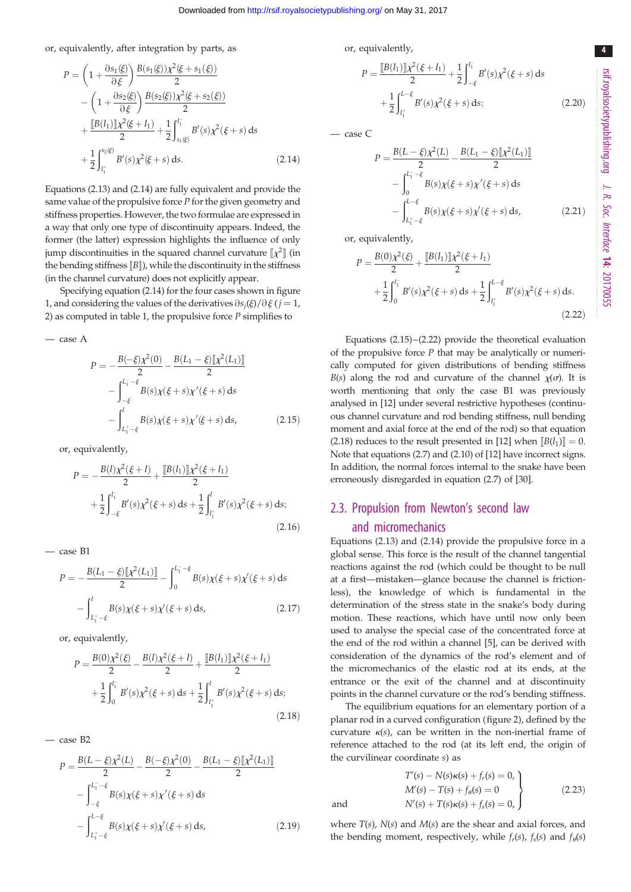or, equivalently, after integration by parts, as

$$
P = \left(1 + \frac{\partial s_1(\xi)}{\partial \xi}\right) \frac{B(s_1(\xi))\chi^2(\xi + s_1(\xi))}{2}
$$
  
 
$$
- \left(1 + \frac{\partial s_2(\xi)}{\partial \xi}\right) \frac{B(s_2(\xi))\chi^2(\xi + s_2(\xi))}{2}
$$
  
 
$$
+ \frac{[B(l_1)]\chi^2(\xi + l_1)}{2} + \frac{1}{2} \int_{s_1(\xi)}^{l_1} B'(s)\chi^2(\xi + s) ds
$$
  
 
$$
+ \frac{1}{2} \int_{l_1^+}^{s_2(\xi)} B'(s)\chi^2(\xi + s) ds.
$$
 (2.14)

Equations (2.13) and (2.14) are fully equivalent and provide the same value of the propulsive force  $P$  for the given geometry and stiffness properties. However, the two formulae are expressed in a way that only one type of discontinuity appears. Indeed, the former (the latter) expression highlights the influence of only jump discontinuities in the squared channel curvature  $\llbracket \chi^2 \rrbracket$  (in the bending stiffness  $[\![B]\!]$  ), while the discontinuity in the stiffness (in the channel curvature) does not explicitly appear.

Specifying equation (2.14) for the four cases shown in [figure](#page-2-0) [1,](#page-2-0) and considering the values of the derivatives  $\partial s_i(\xi)/\partial \xi$  ( $j = 1$ , 2) as computed in [table 1,](#page-2-0) the propulsive force  $P$  simplifies to

— case A

$$
P = -\frac{B(-\xi)\chi^2(0)}{2} - \frac{B(L_1 - \xi)\left[\chi^2(L_1)\right]}{2}
$$

$$
-\int_{-\xi}^{L_1 - \xi} B(s)\chi(\xi + s)\chi'(\xi + s) ds
$$

$$
-\int_{L_1 + \xi}^{l} B(s)\chi(\xi + s)\chi'(\xi + s) ds, \qquad (2.15)
$$

or, equivalently,

$$
P = -\frac{B(l)\chi^2(\xi+l)}{2} + \frac{[B(l_1)]\chi^2(\xi+l_1)}{2} + \frac{1}{2}\int_{-\xi}^{l_1} B'(s)\chi^2(\xi+s) \, ds + \frac{1}{2}\int_{l_1^+}^{l} B'(s)\chi^2(\xi+s) \, ds; \tag{2.16}
$$

— case B1

$$
P = -\frac{B(L_1 - \xi)\left[\chi^2(L_1)\right]}{2} - \int_0^{L_1 - \xi} B(s)\chi(\xi + s)\chi'(\xi + s) \,ds
$$

$$
-\int_{L_1^+ - \xi}^l B(s)\chi(\xi + s)\chi'(\xi + s) \,ds,\tag{2.17}
$$

or, equivalently,

$$
P = \frac{B(0)\chi^2(\xi)}{2} - \frac{B(l)\chi^2(\xi+l)}{2} + \frac{[B(l_1)]\chi^2(\xi+l_1)}{2} + \frac{1}{2}\int_0^{l_1} B'(s)\chi^2(\xi+s) ds + \frac{1}{2}\int_{l_1^+}^l B'(s)\chi^2(\xi+s) ds; \tag{2.18}
$$

— case B2

$$
P = \frac{B(L - \xi)\chi^2(L)}{2} - \frac{B(-\xi)\chi^2(0)}{2} - \frac{B(L_1 - \xi)\chi^2(L_1)\pi}{2}
$$

$$
- \int_{-\xi}^{L_1 - \xi} B(s)\chi(\xi + s)\chi'(\xi + s) \,ds
$$

$$
- \int_{L_1 + -\xi}^{L - \xi} B(s)\chi(\xi + s)\chi'(\xi + s) \,ds,\tag{2.19}
$$

or, equivalently,

$$
P = \frac{\left[B(l_1)\right]\chi^2(\xi + l_1)}{2} + \frac{1}{2}\int_{-\xi}^{l_1} B'(s)\chi^2(\xi + s) \,ds
$$

$$
+ \frac{1}{2}\int_{l_1^+}^{L-\xi} B'(s)\chi^2(\xi + s) \,ds;\tag{2.20}
$$

— case C

$$
P = \frac{B(L - \xi)\chi^2(L)}{2} - \frac{B(L_1 - \xi)\chi^2(L_1)\|}{2}
$$

$$
- \int_0^{L_1^- - \xi} B(s)\chi(\xi + s)\chi'(\xi + s) ds
$$

$$
- \int_{L_1^+ - \xi}^{L - \xi} B(s)\chi(\xi + s)\chi'(\xi + s) ds, \qquad (2.21)
$$

or, equivalently,

$$
P = \frac{B(0)\chi^2(\xi)}{2} + \frac{[B(l_1)]\chi^2(\xi + l_1)}{2} + \frac{1}{2}\int_0^{l_1} B'(s)\chi^2(\xi + s) ds + \frac{1}{2}\int_{l_1^+}^{l - \xi} B'(s)\chi^2(\xi + s) ds.
$$
\n(2.22)

Equations  $(2.15)$ – $(2.22)$  provide the theoretical evaluation of the propulsive force  $P$  that may be analytically or numerically computed for given distributions of bending stiffness  $B(s)$  along the rod and curvature of the channel  $\chi(\sigma)$ . It is worth mentioning that only the case B1 was previously analysed in [[12\]](#page-11-0) under several restrictive hypotheses (continuous channel curvature and rod bending stiffness, null bending moment and axial force at the end of the rod) so that equation (2.18) reduces to the result presented in [[12\]](#page-11-0) when  $[[B(l_1)]] = 0$ . Note that equations (2.7) and (2.10) of [\[12\]](#page-11-0) have incorrect signs. In addition, the normal forces internal to the snake have been erroneously disregarded in equation (2.7) of [\[30](#page-12-0)].

# 2.3. Propulsion from Newton's second law and micromechanics

Equations (2.13) and (2.14) provide the propulsive force in a global sense. This force is the result of the channel tangential reactions against the rod (which could be thought to be null at a first—mistaken—glance because the channel is frictionless), the knowledge of which is fundamental in the determination of the stress state in the snake's body during motion. These reactions, which have until now only been used to analyse the special case of the concentrated force at the end of the rod within a channel [\[5\]](#page-11-0), can be derived with consideration of the dynamics of the rod's element and of the micromechanics of the elastic rod at its ends, at the entrance or the exit of the channel and at discontinuity points in the channel curvature or the rod's bending stiffness.

The equilibrium equations for an elementary portion of a planar rod in a curved configuration ([figure 2](#page-4-0)), defined by the curvature  $\kappa(s)$ , can be written in the non-inertial frame of reference attached to the rod (at its left end, the origin of the curvilinear coordinate s) as

$$
T'(s) - N(s)\kappa(s) + f_r(s) = 0,M'(s) - T(s) + f_\theta(s) = 0N'(s) + T(s)\kappa(s) + f_s(s) = 0,
$$
 (2.23)

where  $T(s)$ ,  $N(s)$  and  $M(s)$  are the shear and axial forces, and the bending moment, respectively, while  $f_r(s)$ ,  $f_s(s)$  and  $f_\theta(s)$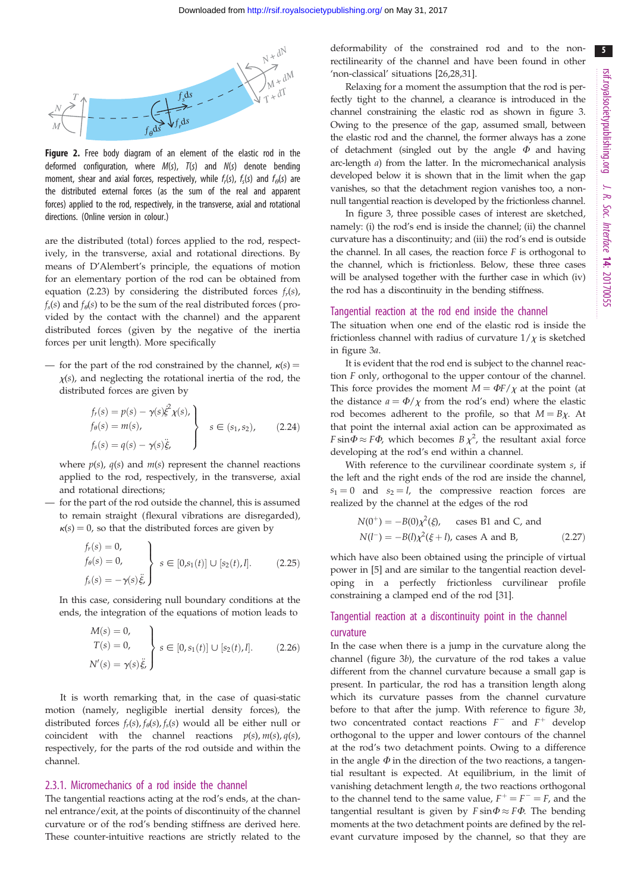<span id="page-4-0"></span>

Figure 2. Free body diagram of an element of the elastic rod in the deformed configuration, where  $M(s)$ ,  $T(s)$  and  $N(s)$  denote bending moment, shear and axial forces, respectively, while  $f_r(s)$ ,  $f_s(s)$  and  $f_\theta(s)$  are the distributed external forces (as the sum of the real and apparent forces) applied to the rod, respectively, in the transverse, axial and rotational directions. (Online version in colour.)

are the distributed (total) forces applied to the rod, respectively, in the transverse, axial and rotational directions. By means of D'Alembert's principle, the equations of motion for an elementary portion of the rod can be obtained from equation (2.23) by considering the distributed forces  $f_r(s)$ ,  $f_s(s)$  and  $f_\theta(s)$  to be the sum of the real distributed forces (provided by the contact with the channel) and the apparent distributed forces (given by the negative of the inertia forces per unit length). More specifically

— for the part of the rod constrained by the channel,  $\kappa(s)$  =  $x(s)$ , and neglecting the rotational inertia of the rod, the distributed forces are given by

$$
f_r(s) = p(s) - \gamma(s)\dot{\xi}^2 \chi(s), \nf_\theta(s) = m(s), \nf_s(s) = q(s) - \gamma(s)\ddot{\xi},
$$
\n
$$
\left.\begin{matrix} s \in (s_1, s_2), \\ s \in (s_1, s_2), \end{matrix}\right\} \quad (2.24)
$$

where  $p(s)$ ,  $q(s)$  and  $m(s)$  represent the channel reactions applied to the rod, respectively, in the transverse, axial and rotational directions;

— for the part of the rod outside the channel, this is assumed to remain straight (flexural vibrations are disregarded),  $k(s) = 0$ , so that the distributed forces are given by

$$
f_r(s) = 0,
$$
  
\n
$$
f_{\theta}(s) = 0,
$$
  
\n
$$
f_s(s) = -\gamma(s)\ddot{\xi},
$$
  
\n
$$
s \in [0, s_1(t)] \cup [s_2(t), l].
$$
 (2.25)

In this case, considering null boundary conditions at the ends, the integration of the equations of motion leads to

$$
M(s) = 0,
$$
  
\n
$$
T(s) = 0,
$$
  
\n
$$
N'(s) = \gamma(s)\ddot{\xi},
$$
  
\n
$$
s \in [0, s_1(t)] \cup [s_2(t), l].
$$
 (2.26)

It is worth remarking that, in the case of quasi-static motion (namely, negligible inertial density forces), the distributed forces  $f_r(s)$ ,  $f_\theta(s)$ ,  $f_s(s)$  would all be either null or coincident with the channel reactions  $p(s)$ ,  $m(s)$ ,  $q(s)$ , respectively, for the parts of the rod outside and within the channel.

#### 2.3.1. Micromechanics of a rod inside the channel

The tangential reactions acting at the rod's ends, at the channel entrance/exit, at the points of discontinuity of the channel curvature or of the rod's bending stiffness are derived here. These counter-intuitive reactions are strictly related to the

deformability of the constrained rod and to the nonrectilinearity of the channel and have been found in other 'non-classical' situations [[26,28,31](#page-12-0)].

Relaxing for a moment the assumption that the rod is perfectly tight to the channel, a clearance is introduced in the channel constraining the elastic rod as shown in [figure 3](#page-5-0). Owing to the presence of the gap, assumed small, between the elastic rod and the channel, the former always has a zone of detachment (singled out by the angle  $\Phi$  and having arc-length a) from the latter. In the micromechanical analysis developed below it is shown that in the limit when the gap vanishes, so that the detachment region vanishes too, a nonnull tangential reaction is developed by the frictionless channel.

In [figure 3,](#page-5-0) three possible cases of interest are sketched, namely: (i) the rod's end is inside the channel; (ii) the channel curvature has a discontinuity; and (iii) the rod's end is outside the channel. In all cases, the reaction force  $F$  is orthogonal to the channel, which is frictionless. Below, these three cases will be analysed together with the further case in which (iv) the rod has a discontinuity in the bending stiffness.

#### Tangential reaction at the rod end inside the channel

The situation when one end of the elastic rod is inside the frictionless channel with radius of curvature  $1/\chi$  is sketched in [figure 3](#page-5-0)a.

It is evident that the rod end is subject to the channel reaction F only, orthogonal to the upper contour of the channel. This force provides the moment  $M = \Phi F / \chi$  at the point (at the distance  $a = \Phi/\chi$  from the rod's end) where the elastic rod becomes adherent to the profile, so that  $M = B\chi$ . At that point the internal axial action can be approximated as  $F \sin \Phi \approx F \Phi$ , which becomes  $B \chi^2$ , the resultant axial force developing at the rod's end within a channel.

With reference to the curvilinear coordinate system s, if the left and the right ends of the rod are inside the channel,  $s_1 = 0$  and  $s_2 = l$ , the compressive reaction forces are realized by the channel at the edges of the rod

$$
N(0^{+}) = -B(0)\chi^{2}(\xi),
$$
 cases B1 and C, and  

$$
N(l^{-}) = -B(l)\chi^{2}(\xi + l),
$$
 cases A and B, (2.27)

which have also been obtained using the principle of virtual power in [\[5\]](#page-11-0) and are similar to the tangential reaction developing in a perfectly frictionless curvilinear profile constraining a clamped end of the rod [[31\]](#page-12-0).

## Tangential reaction at a discontinuity point in the channel curvature

In the case when there is a jump in the curvature along the channel [\(figure 3](#page-5-0)b), the curvature of the rod takes a value different from the channel curvature because a small gap is present. In particular, the rod has a transition length along which its curvature passes from the channel curvature before to that after the jump. With reference to [figure 3](#page-5-0)b, two concentrated contact reactions  $F^-$  and  $F^+$  develop orthogonal to the upper and lower contours of the channel at the rod's two detachment points. Owing to a difference in the angle  $\Phi$  in the direction of the two reactions, a tangential resultant is expected. At equilibrium, in the limit of vanishing detachment length a, the two reactions orthogonal to the channel tend to the same value,  $F^+ = F^- = F$ , and the tangential resultant is given by  $F \sin \Phi \approx F \Phi$ . The bending moments at the two detachment points are defined by the relevant curvature imposed by the channel, so that they are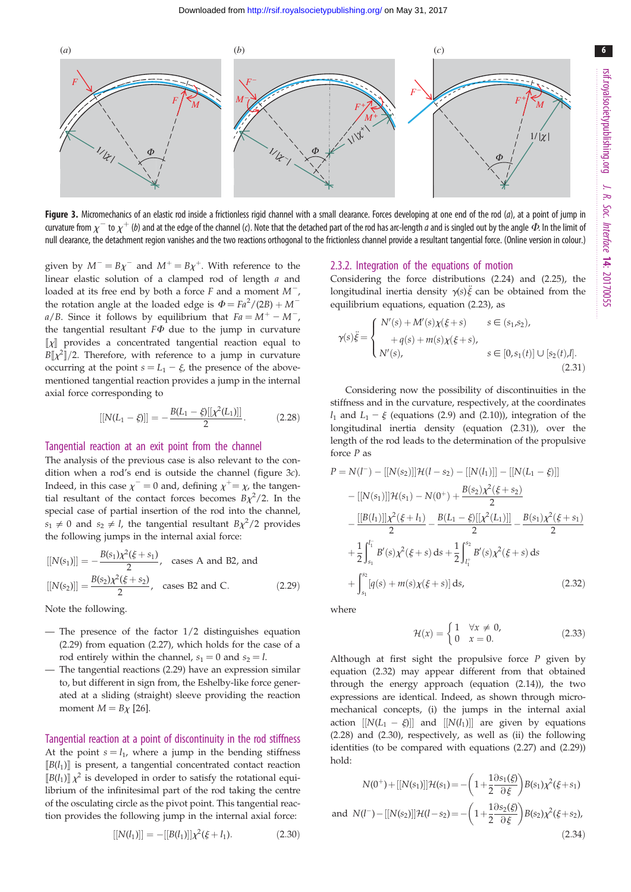6

<span id="page-5-0"></span>

Figure 3. Micromechanics of an elastic rod inside a frictionless rigid channel with a small clearance. Forces developing at one end of the rod (a), at a point of jump in curvature from  $\chi^-$  to  $\chi^+$  (b) and at the edge of the channel (c). Note that the detached part of the rod has arc-length a and is singled out by the angle  $\Phi$ . In the limit of null clearance, the detachment region vanishes and the two reactions orthogonal to the frictionless channel provide a resultant tangential force. (Online version in colour.)

given by  $M^- = B\chi^-$  and  $M^+ = B\chi^+$ . With reference to the linear elastic solution of a clamped rod of length a and loaded at its free end by both a force  $F$  and a moment  $M^-$ , the rotation angle at the loaded edge is  $\Phi = Fa^2/(2B) + M^{-1}$ a/B. Since it follows by equilibrium that  $Fa = M^+ - M^-$ , the tangential resultant  $F\Phi$  due to the jump in curvature  $\llbracket \chi \rrbracket$  provides a concentrated tangential reaction equal to  $B\llbracket\chi^2\rrbracket/2$ . Therefore, with reference to a jump in curvature occurring at the point  $s = L_1 - \xi$ , the presence of the abovementioned tangential reaction provides a jump in the internal axial force corresponding to

$$
[[N(L_1 - \xi)]] = -\frac{B(L_1 - \xi)[[\chi^2(L_1)]]}{2}.
$$
 (2.28)

#### Tangential reaction at an exit point from the channel

The analysis of the previous case is also relevant to the condition when a rod's end is outside the channel (figure 3c). Indeed, in this case  $\chi^2 = 0$  and, defining  $\chi^2 = \chi$ , the tangential resultant of the contact forces becomes  $B\chi^2/2$ . In the special case of partial insertion of the rod into the channel,  $s_1 \neq 0$  and  $s_2 \neq l$ , the tangential resultant  $B\chi^2/2$  provides the following jumps in the internal axial force:

$$
[[N(s_1)]] = -\frac{B(s_1)\chi^2(\xi + s_1)}{2}, \text{ cases A and B2, and}
$$

$$
[[N(s_2)]] = \frac{B(s_2)\chi^2(\xi + s_2)}{2}, \text{ cases B2 and C.}
$$
(2.29)

Note the following.

- The presence of the factor  $1/2$  distinguishes equation (2.29) from equation (2.27), which holds for the case of a rod entirely within the channel,  $s_1 = 0$  and  $s_2 = l$ .
- The tangential reactions (2.29) have an expression similar to, but different in sign from, the Eshelby-like force generated at a sliding (straight) sleeve providing the reaction moment  $M = B_X$  [\[26](#page-12-0)].

Tangential reaction at a point of discontinuity in the rod stiffness At the point  $s = l_1$ , where a jump in the bending stiffness  $[[B(l_1)]]$  is present, a tangential concentrated contact reaction  $[[B(l_1)] \chi^2$  is developed in order to satisfy the rotational equilibrium of the infinitesimal part of the rod taking the centre of the osculating circle as the pivot point. This tangential reaction provides the following jump in the internal axial force:

$$
[[N(l_1)]] = -[[B(l_1)]]\chi^2(\xi + l_1). \tag{2.30}
$$

#### 2.3.2. Integration of the equations of motion

Considering the force distributions (2.24) and (2.25), the longitudinal inertia density  $\gamma(s)\ddot{\xi}$  can be obtained from the equilibrium equations, equation (2.23), as

$$
\gamma(s)\ddot{\xi} = \begin{cases} N'(s) + M'(s)\chi(\xi + s) & s \in (s_1, s_2), \\ +q(s) + m(s)\chi(\xi + s), \\ N'(s), & s \in [0, s_1(t)] \cup [s_2(t), t]. \end{cases}
$$
\n(2.31)

Considering now the possibility of discontinuities in the stiffness and in the curvature, respectively, at the coordinates  $l_1$  and  $L_1 - \xi$  (equations (2.9) and (2.10)), integration of the longitudinal inertia density (equation (2.31)), over the length of the rod leads to the determination of the propulsive force P as

$$
P = N(I^{-}) - [[N(s_{2})]]\mathcal{H}(I - s_{2}) - [[N(I_{1})]] - [[N(L_{1} - \xi)]]
$$
  
\n
$$
- [[N(s_{1})]]\mathcal{H}(s_{1}) - N(0^{+}) + \frac{B(s_{2})\chi^{2}(\xi + s_{2})}{2}
$$
  
\n
$$
- \frac{[[B(I_{1})]]\chi^{2}(\xi + I_{1})}{2} - \frac{B(L_{1} - \xi)[[\chi^{2}(L_{1})]]}{2} - \frac{B(s_{1})\chi^{2}(\xi + s_{1})}{2}
$$
  
\n
$$
+ \frac{1}{2} \int_{s_{1}}^{I_{1}^{T}} B'(s)\chi^{2}(\xi + s) ds + \frac{1}{2} \int_{I_{1}^{+}}^{s_{2}} B'(s)\chi^{2}(\xi + s) ds
$$
  
\n
$$
+ \int_{s_{1}}^{s_{2}} [q(s) + m(s)\chi(\xi + s)] ds, \qquad (2.32)
$$

where

$$
\mathcal{H}(x) = \begin{cases} 1 & \forall x \neq 0, \\ 0 & x = 0. \end{cases} \tag{2.33}
$$

Although at first sight the propulsive force  $P$  given by equation (2.32) may appear different from that obtained through the energy approach (equation (2.14)), the two expressions are identical. Indeed, as shown through micromechanical concepts, (i) the jumps in the internal axial action  $[[N(L_1 - \xi)]]$  and  $[[N(l_1)]]$  are given by equations (2.28) and (2.30), respectively, as well as (ii) the following identities (to be compared with equations (2.27) and (2.29)) hold:

$$
N(0^{+}) + [[N(s1)]] \mathcal{H}(s1) = -\left(1 + \frac{1 \partial s_{1}(\xi)}{2} \partial \xi\right) B(s_{1}) \chi^{2}(\xi + s_{1})
$$
  
and 
$$
N(I^{-}) - [[N(s_{2})]] \mathcal{H}(I - s_{2}) = -\left(1 + \frac{1 \partial s_{2}(\xi)}{2} \partial \xi\right) B(s_{2}) \chi^{2}(\xi + s_{2}),
$$
\n(2.34)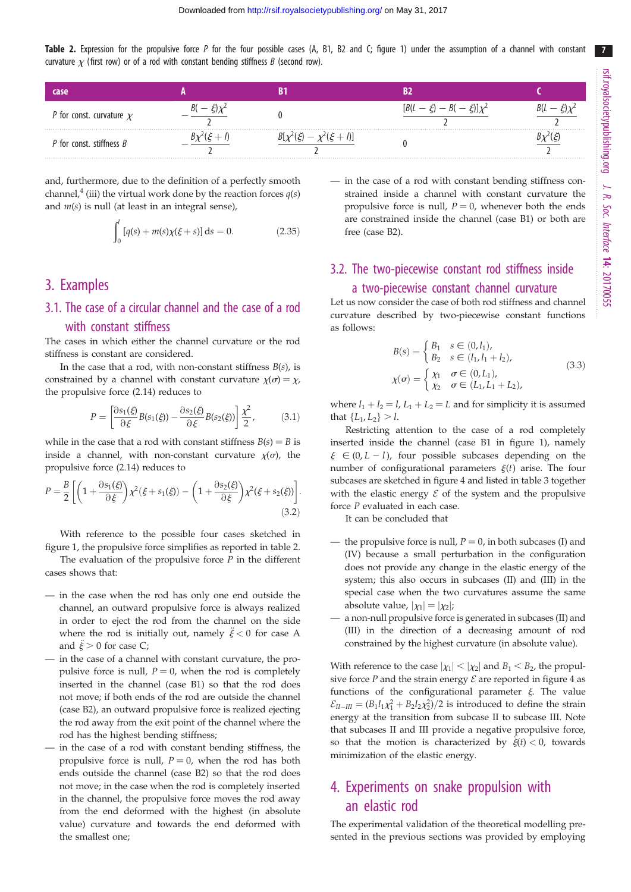7

Table 2. Expression for the propulsive force P for the four possible cases (A, B1, B2 and C; [figure 1](#page-2-0)) under the assumption of a channel with constant curvature  $\chi$  (first row) or of a rod with constant bending stiffness B (second row).

| case                          |  |         |  |
|-------------------------------|--|---------|--|
| P for const. curvature $\chi$ |  | $B(L -$ |  |
| P for const. stiffness B      |  |         |  |

and, furthermore, due to the definition of a perfectly smooth channel,<sup>4</sup> (iii) the virtual work done by the reaction forces  $q(s)$ and  $m(s)$  is null (at least in an integral sense),

$$
\int_0^l [q(s) + m(s)\chi(\xi + s)] ds = 0.
$$
 (2.35)

## 3. Examples

## 3.1. The case of a circular channel and the case of a rod

## with constant stiffness

The cases in which either the channel curvature or the rod stiffness is constant are considered.

In the case that a rod, with non-constant stiffness  $B(s)$ , is constrained by a channel with constant curvature  $\chi(\sigma) = \chi$ , the propulsive force (2.14) reduces to

$$
P = \left[\frac{\partial s_1(\xi)}{\partial \xi} B(s_1(\xi)) - \frac{\partial s_2(\xi)}{\partial \xi} B(s_2(\xi))\right] \frac{\chi^2}{2},\tag{3.1}
$$

while in the case that a rod with constant stiffness  $B(s) = B$  is inside a channel, with non-constant curvature  $\chi(\sigma)$ , the propulsive force (2.14) reduces to

$$
P = \frac{B}{2} \left[ \left( 1 + \frac{\partial s_1(\xi)}{\partial \xi} \right) \chi^2(\xi + s_1(\xi)) - \left( 1 + \frac{\partial s_2(\xi)}{\partial \xi} \right) \chi^2(\xi + s_2(\xi)) \right].
$$
\n(3.2)

With reference to the possible four cases sketched in [figure 1,](#page-2-0) the propulsive force simplifies as reported in table 2.

The evaluation of the propulsive force  $P$  in the different cases shows that:

- in the case when the rod has only one end outside the channel, an outward propulsive force is always realized in order to eject the rod from the channel on the side where the rod is initially out, namely  $\ddot{\xi}$  < 0 for case A and  $\ddot{\xi} > 0$  for case C:
- in the case of a channel with constant curvature, the propulsive force is null,  $P = 0$ , when the rod is completely inserted in the channel (case B1) so that the rod does not move; if both ends of the rod are outside the channel (case B2), an outward propulsive force is realized ejecting the rod away from the exit point of the channel where the rod has the highest bending stiffness;
- in the case of a rod with constant bending stiffness, the propulsive force is null,  $P = 0$ , when the rod has both ends outside the channel (case B2) so that the rod does not move; in the case when the rod is completely inserted in the channel, the propulsive force moves the rod away from the end deformed with the highest (in absolute value) curvature and towards the end deformed with the smallest one;

— in the case of a rod with constant bending stiffness constrained inside a channel with constant curvature the propulsive force is null,  $P = 0$ , whenever both the ends are constrained inside the channel (case B1) or both are free (case B2).

## 3.2. The two-piecewise constant rod stiffness inside a two-piecewise constant channel curvature

Let us now consider the case of both rod stiffness and channel curvature described by two-piecewise constant functions as follows:

$$
B(s) = \begin{cases} B_1 & s \in (0, l_1), \\ B_2 & s \in (l_1, l_1 + l_2), \end{cases}
$$
  
\n
$$
\chi(\sigma) = \begin{cases} \chi_1 & \sigma \in (0, l_1), \\ \chi_2 & \sigma \in (l_1, l_1 + l_2), \end{cases}
$$
\n(3.3)

where  $l_1 + l_2 = l$ ,  $L_1 + L_2 = L$  and for simplicity it is assumed that  ${L_1, L_2} > l$ .

Restricting attention to the case of a rod completely inserted inside the channel (case B1 in [figure 1\)](#page-2-0), namely  $\xi \in (0, L - l)$ , four possible subcases depending on the number of configurational parameters  $\xi(t)$  arise. The four subcases are sketched in [figure 4](#page-7-0) and listed in [table 3](#page-8-0) together with the elastic energy  $\mathcal E$  of the system and the propulsive force P evaluated in each case.

It can be concluded that

- the propulsive force is null,  $P = 0$ , in both subcases (I) and (IV) because a small perturbation in the configuration does not provide any change in the elastic energy of the system; this also occurs in subcases (II) and (III) in the special case when the two curvatures assume the same absolute value,  $|\chi_1| = |\chi_2|$ ;
- a non-null propulsive force is generated in subcases (II) and (III) in the direction of a decreasing amount of rod constrained by the highest curvature (in absolute value).

With reference to the case  $|\chi_1| < |\chi_2|$  and  $B_1 < B_2$ , the propulsive force  $P$  and the strain energy  $E$  are reported in [figure 4](#page-7-0) as functions of the configurational parameter  $\xi$ . The value  $\mathcal{E}_{II-III} = (B_1 l_1 \chi_1^2 + B_2 l_2 \chi_2^2)/2$  is introduced to define the strain energy at the transition from subcase II to subcase III. Note that subcases II and III provide a negative propulsive force, so that the motion is characterized by  $\dot{\xi}(t) < 0$ , towards minimization of the elastic energy.

# 4. Experiments on snake propulsion with an elastic rod

The experimental validation of the theoretical modelling presented in the previous sections was provided by employing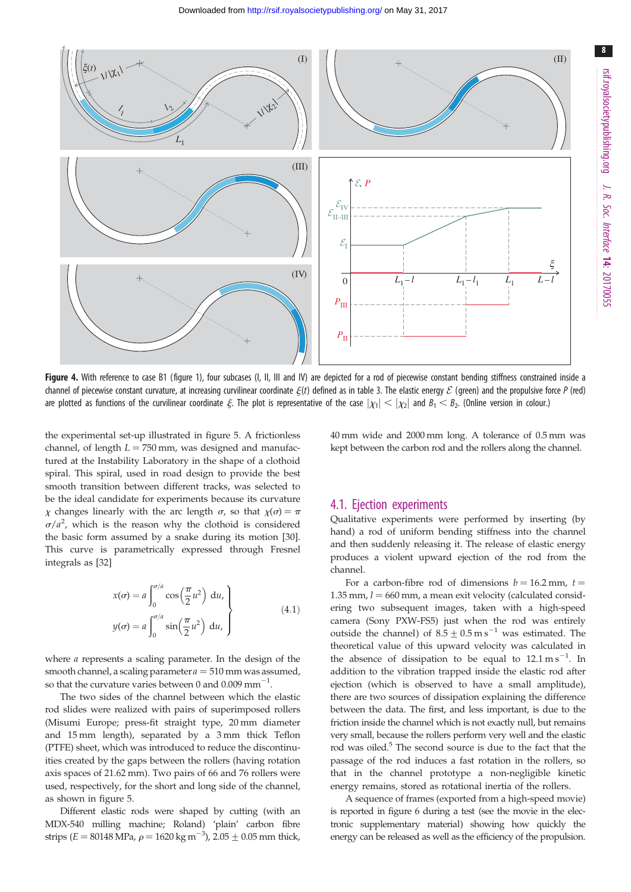<span id="page-7-0"></span>

Figure 4. With reference to case B1 [\(figure 1](#page-2-0)), four subcases (I, II, III and IV) are depicted for a rod of piecewise constant bending stiffness constrained inside a channel of piecewise constant curvature, at increasing curvilinear coordinate  $\xi(t)$  defined as in [table 3.](#page-8-0) The elastic energy  $\mathcal E$  (green) and the propulsive force P (red) are plotted as functions of the curvilinear coordinate  $\xi$ . The plot is representative of the case  $|\chi_1| < |\chi_2|$  and  $B_1 < B_2$ . (Online version in colour.)

the experimental set-up illustrated in [figure 5](#page-9-0). A frictionless channel, of length  $L = 750$  mm, was designed and manufactured at the Instability Laboratory in the shape of a clothoid spiral. This spiral, used in road design to provide the best smooth transition between different tracks, was selected to be the ideal candidate for experiments because its curvature  $\chi$  changes linearly with the arc length  $\sigma$ , so that  $\chi(\sigma) = \pi$  $\sigma/a^2$ , which is the reason why the clothoid is considered the basic form assumed by a snake during its motion [\[30](#page-12-0)]. This curve is parametrically expressed through Fresnel integrals as [\[32](#page-12-0)]

$$
x(\sigma) = a \int_0^{\sigma/a} \cos\left(\frac{\pi}{2}u^2\right) du,
$$
  

$$
y(\sigma) = a \int_0^{\sigma/a} \sin\left(\frac{\pi}{2}u^2\right) du,
$$
 (4.1)

where a represents a scaling parameter. In the design of the smooth channel, a scaling parameter  $a = 510$  mm was assumed, so that the curvature varies between 0 and  $0.009$   $\text{mm}^{-1}$ .

The two sides of the channel between which the elastic rod slides were realized with pairs of superimposed rollers (Misumi Europe; press-fit straight type, 20 mm diameter and 15 mm length), separated by a 3 mm thick Teflon (PTFE) sheet, which was introduced to reduce the discontinuities created by the gaps between the rollers (having rotation axis spaces of 21.62 mm). Two pairs of 66 and 76 rollers were used, respectively, for the short and long side of the channel, as shown in [figure 5](#page-9-0).

Different elastic rods were shaped by cutting (with an MDX-540 milling machine; Roland) 'plain' carbon fibre strips ( $E = 80148 \text{ MPa}$ ,  $\rho = 1620 \text{ kg m}^{-3}$ ), 2.05  $\pm$  0.05 mm thick,

40 mm wide and 2000 mm long. A tolerance of 0.5 mm was kept between the carbon rod and the rollers along the channel.

### 4.1. Ejection experiments

Qualitative experiments were performed by inserting (by hand) a rod of uniform bending stiffness into the channel and then suddenly releasing it. The release of elastic energy produces a violent upward ejection of the rod from the channel.

For a carbon-fibre rod of dimensions  $b = 16.2$  mm,  $t =$ 1.35 mm,  $l = 660$  mm, a mean exit velocity (calculated considering two subsequent images, taken with a high-speed camera (Sony PXW-FS5) just when the rod was entirely outside the channel) of  $8.5 + 0.5$  m s<sup>-1</sup> was estimated. The theoretical value of this upward velocity was calculated in the absence of dissipation to be equal to  $12.1 \text{ m s}^{-1}$ . In addition to the vibration trapped inside the elastic rod after ejection (which is observed to have a small amplitude), there are two sources of dissipation explaining the difference between the data. The first, and less important, is due to the friction inside the channel which is not exactly null, but remains very small, because the rollers perform very well and the elastic rod was oiled.5 The second source is due to the fact that the passage of the rod induces a fast rotation in the rollers, so that in the channel prototype a non-negligible kinetic energy remains, stored as rotational inertia of the rollers.

A sequence of frames (exported from a high-speed movie) is reported in [figure 6](#page-9-0) during a test (see the movie in the electronic supplementary material) showing how quickly the energy can be released as well as the efficiency of the propulsion.

8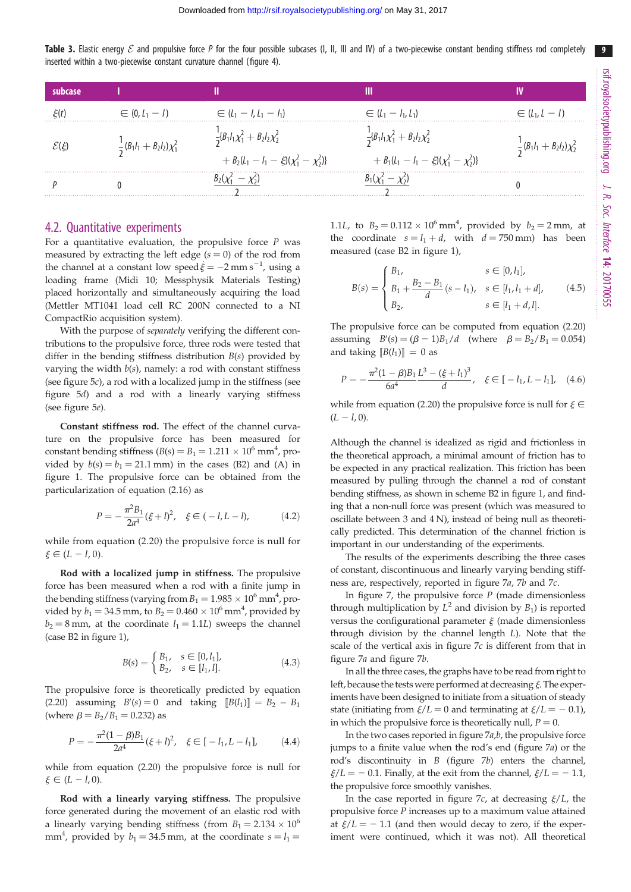<span id="page-8-0"></span>Table 3. Elastic energy  $\mathcal E$  and propulsive force P for the four possible subcases (I, II, III and IV) of a two-piecewise constant bending stiffness rod completely inserted within a two-piecewise constant curvature channel [\(figure 4](#page-7-0)).

| $\in (0, l_1 - l)$                   | $\in$ $(l_1 - l, l_1 - l_1)$                    | $\in$ $(l_1 - l_1, l_1)$                                                                                                    | $\in (l_1, l - 1)$ |
|--------------------------------------|-------------------------------------------------|-----------------------------------------------------------------------------------------------------------------------------|--------------------|
| $\frac{1}{2}(B_1l_1 + B_2l_2)\chi^2$ | + $B_2(L_1 - I_1 - \xi)(\chi_1^2 - \chi_2^2)$ } | $\frac{1}{2}$ {B <sub>1</sub> I <sub>1</sub> $\chi_1^2 + B_2 I_2 \chi_2^2$<br>$+ B_1(l_1 - l_1 - \xi)(\chi_1^2 - \chi_2^2)$ |                    |
|                                      |                                                 |                                                                                                                             |                    |

## 4.2. Quantitative experiments

For a quantitative evaluation, the propulsive force  $P$  was measured by extracting the left edge  $(s = 0)$  of the rod from the channel at a constant low speed $\dot{\xi} = -2\,\mathrm{mm\,s}^{-1}$ , using a loading frame (Midi 10; Messphysik Materials Testing) placed horizontally and simultaneously acquiring the load (Mettler MT1041 load cell RC 200N connected to a NI CompactRio acquisition system).

With the purpose of separately verifying the different contributions to the propulsive force, three rods were tested that differ in the bending stiffness distribution  $B(s)$  provided by varying the width  $b(s)$ , namely: a rod with constant stiffness (see [figure 5](#page-9-0)c), a rod with a localized jump in the stiffness (see [figure 5](#page-9-0)d) and a rod with a linearly varying stiffness (see [figure 5](#page-9-0)e).

Constant stiffness rod. The effect of the channel curvature on the propulsive force has been measured for constant bending stiffness ( $B(s) = B_1 = 1.211 \times 10^6$  mm<sup>4</sup>, provided by  $b(s) = b_1 = 21.1$  mm) in the cases (B2) and (A) in [figure 1](#page-2-0). The propulsive force can be obtained from the particularization of equation (2.16) as

$$
P = -\frac{\pi^2 B_1}{2a^4} (\xi + l)^2, \quad \xi \in (-l, L - l), \tag{4.2}
$$

while from equation (2.20) the propulsive force is null for  $\xi \in (L - l, 0).$ 

Rod with a localized jump in stiffness. The propulsive force has been measured when a rod with a finite jump in the bending stiffness (varying from  $B_1 = 1.985 \times 10^6$  mm<sup>4</sup>, provided by  $b_1 = 34.5$  mm, to  $B_2 = 0.460 \times 10^6$  mm<sup>4</sup>, provided by  $b_2 = 8$  mm, at the coordinate  $l_1 = 1.1L$ ) sweeps the channel (case B2 in [figure 1\)](#page-2-0),

$$
B(s) = \begin{cases} B_1, & s \in [0, l_1], \\ B_2, & s \in [l_1, l]. \end{cases}
$$
(4.3)

The propulsive force is theoretically predicted by equation (2.20) assuming  $B'(s) = 0$  and taking  $[ B(l_1) ] ] = B_2 - B_1$ (where  $\beta = B_2/B_1 = 0.232$ ) as

$$
P = -\frac{\pi^2 (1 - \beta) B_1}{2a^4} (\xi + l)^2, \quad \xi \in [-l_1, L - l_1], \quad (4.4)
$$

while from equation (2.20) the propulsive force is null for  $\xi \in (L - l, 0).$ 

Rod with a linearly varying stiffness. The propulsive force generated during the movement of an elastic rod with a linearly varying bending stiffness (from  $B_1 = 2.134 \times 10^6$ mm<sup>4</sup>, provided by  $b_1 = 34.5$  mm, at the coordinate  $s = l_1$  =

1.1L, to  $B_2 = 0.112 \times 10^6$  mm<sup>4</sup>, provided by  $b_2 = 2$  mm, at the coordinate  $s = l_1 + d$ , with  $d = 750$  mm) has been measured (case B2 in [figure 1](#page-2-0)),

$$
B(s) = \begin{cases} B_{1}, & s \in [0, l_{1}], \\ B_{1} + \frac{B_{2} - B_{1}}{d}(s - l_{1}), & s \in [l_{1}, l_{1} + d], \\ B_{2}, & s \in [l_{1} + d, l]. \end{cases}
$$
(4.5)

The propulsive force can be computed from equation (2.20) assuming  $B'(s) = (\beta - 1)B_1/d$  (where  $\beta = B_2/B_1 = 0.054$ ) and taking  $[[B(l_1)]] = 0$  as

$$
P = -\frac{\pi^2 (1 - \beta) B_1 L^3 - (\xi + l_1)^3}{6a^4}, \quad \xi \in [-l_1, L - l_1], \quad (4.6)
$$

while from equation (2.20) the propulsive force is null for  $\xi \in$  $(L - l, 0).$ 

Although the channel is idealized as rigid and frictionless in the theoretical approach, a minimal amount of friction has to be expected in any practical realization. This friction has been measured by pulling through the channel a rod of constant bending stiffness, as shown in scheme B2 in [figure 1](#page-2-0), and finding that a non-null force was present (which was measured to oscillate between 3 and 4 N), instead of being null as theoretically predicted. This determination of the channel friction is important in our understanding of the experiments.

The results of the experiments describing the three cases of constant, discontinuous and linearly varying bending stiffness are, respectively, reported in [figure 7](#page-10-0)a, [7](#page-10-0)b and [7](#page-10-0)c.

In figure 7, the propulsive force  $P$  (made dimensionless through multiplication by  $L^2$  and division by  $B_1$ ) is reported versus the configurational parameter  $\xi$  (made dimensionless through division by the channel length L). Note that the scale of the vertical axis in [figure 7](#page-10-0)c is different from that in [figure 7](#page-10-0)a and [figure 7](#page-10-0)b.

In all the three cases, the graphs have to be read from right to left, because the tests were performed at decreasing  $\xi$ . The experiments have been designed to initiate from a situation of steady state (initiating from  $\xi/L = 0$  and terminating at  $\xi/L = -0.1$ ), in which the propulsive force is theoretically null,  $P = 0$ .

In the two cases reported in figure  $7a,b$  $7a,b$ , the propulsive force jumps to a finite value when the rod's end [\(figure 7](#page-10-0)a) or the rod's discontinuity in B [\(figure 7](#page-10-0)b) enters the channel,  $\xi/L = -0.1$ . Finally, at the exit from the channel,  $\xi/L = -1.1$ , the propulsive force smoothly vanishes.

In the case reported in [figure 7](#page-10-0)c, at decreasing  $\xi/L$ , the propulsive force P increases up to a maximum value attained at  $\xi/L = -1.1$  (and then would decay to zero, if the experiment were continued, which it was not). All theoretical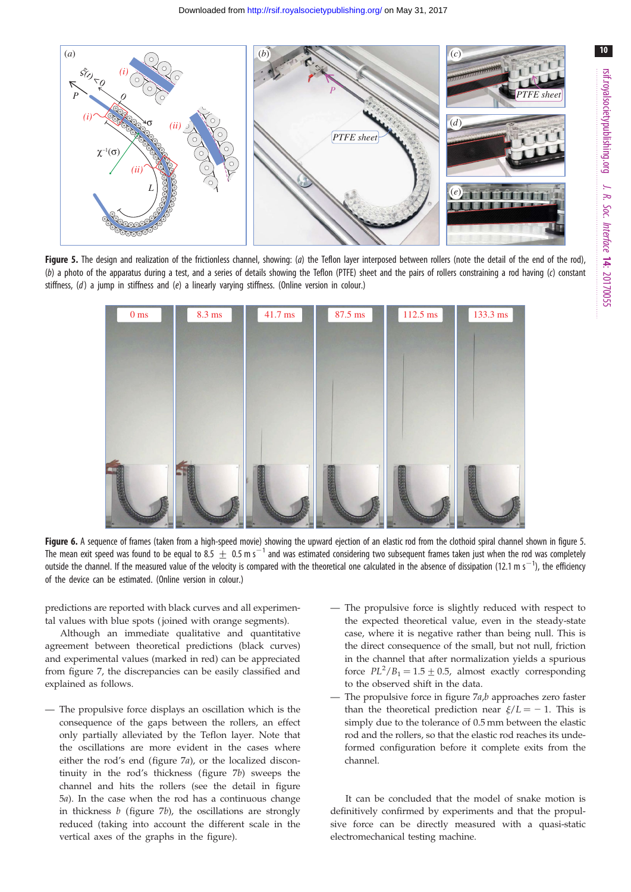<span id="page-9-0"></span>

Figure 5. The design and realization of the frictionless channel, showing: (a) the Teflon layer interposed between rollers (note the detail of the end of the rod), (b) a photo of the apparatus during a test, and a series of details showing the Teflon (PTFE) sheet and the pairs of rollers constraining a rod having (c) constant stiffness, (d) a jump in stiffness and (e) a linearly varying stiffness. (Online version in colour.)



Figure 6. A sequence of frames (taken from a high-speed movie) showing the upward ejection of an elastic rod from the dothoid spiral channel shown in figure 5. The mean exit speed was found to be equal to 8.5  $\pm$  0.5 m s<sup>-1</sup> and was estimated considering two subsequent frames taken just when the rod was completely outside the channel. If the measured value of the velocity is compared with the theoretical one calculated in the absence of dissipation (12.1 m s<sup>-1</sup>), the efficiency of the device can be estimated. (Online version in colour.)

predictions are reported with black curves and all experimental values with blue spots ( joined with orange segments).

Although an immediate qualitative and quantitative agreement between theoretical predictions (black curves) and experimental values (marked in red) can be appreciated from [figure 7](#page-10-0), the discrepancies can be easily classified and explained as follows.

- The propulsive force displays an oscillation which is the consequence of the gaps between the rollers, an effect only partially alleviated by the Teflon layer. Note that the oscillations are more evident in the cases where either the rod's end [\(figure 7](#page-10-0)a), or the localized discontinuity in the rod's thickness [\(figure 7](#page-10-0)b) sweeps the channel and hits the rollers (see the detail in figure 5a). In the case when the rod has a continuous change in thickness  $b$  ([figure 7](#page-10-0)b), the oscillations are strongly reduced (taking into account the different scale in the vertical axes of the graphs in the figure).
- The propulsive force is slightly reduced with respect to the expected theoretical value, even in the steady-state case, where it is negative rather than being null. This is the direct consequence of the small, but not null, friction in the channel that after normalization yields a spurious force  $PL^2/B_1 = 1.5 \pm 0.5$ , almost exactly corresponding to the observed shift in the data.
- The propulsive force in figure  $7a,b$  approaches zero faster than the theoretical prediction near  $\xi/L = -1$ . This is simply due to the tolerance of 0.5 mm between the elastic rod and the rollers, so that the elastic rod reaches its undeformed configuration before it complete exits from the channel.

It can be concluded that the model of snake motion is definitively confirmed by experiments and that the propulsive force can be directly measured with a quasi-static electromechanical testing machine.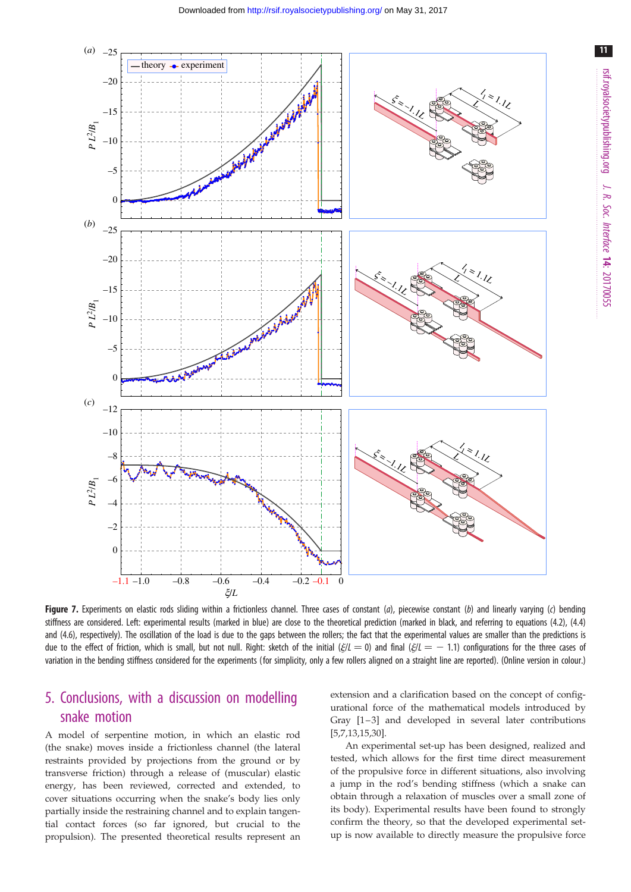<span id="page-10-0"></span>

Figure 7. Experiments on elastic rods sliding within a frictionless channel. Three cases of constant (a), piecewise constant (b) and linearly varying (c) bending stiffness are considered. Left: experimental results (marked in blue) are close to the theoretical prediction (marked in black, and referring to equations (4.2), (4.4) and (4.6), respectively). The oscillation of the load is due to the gaps between the rollers; the fact that the experimental values are smaller than the predictions is due to the effect of friction, which is small, but not null. Right: sketch of the initial ( $\zeta/L = 0$ ) and final ( $\zeta/L = -1.1$ ) configurations for the three cases of variation in the bending stiffness considered for the experiments (for simplicity, only a few rollers aligned on a straight line are reported). (Online version in colour.)

# 5. Conclusions, with a discussion on modelling snake motion

A model of serpentine motion, in which an elastic rod (the snake) moves inside a frictionless channel (the lateral restraints provided by projections from the ground or by transverse friction) through a release of (muscular) elastic energy, has been reviewed, corrected and extended, to cover situations occurring when the snake's body lies only partially inside the restraining channel and to explain tangential contact forces (so far ignored, but crucial to the propulsion). The presented theoretical results represent an extension and a clarification based on the concept of configurational force of the mathematical models introduced by Gray [[1](#page-11-0)–[3](#page-11-0)] and developed in several later contributions [[5,7,13,15](#page-11-0),[30\]](#page-12-0).

An experimental set-up has been designed, realized and tested, which allows for the first time direct measurement of the propulsive force in different situations, also involving a jump in the rod's bending stiffness (which a snake can obtain through a relaxation of muscles over a small zone of its body). Experimental results have been found to strongly confirm the theory, so that the developed experimental setup is now available to directly measure the propulsive force

11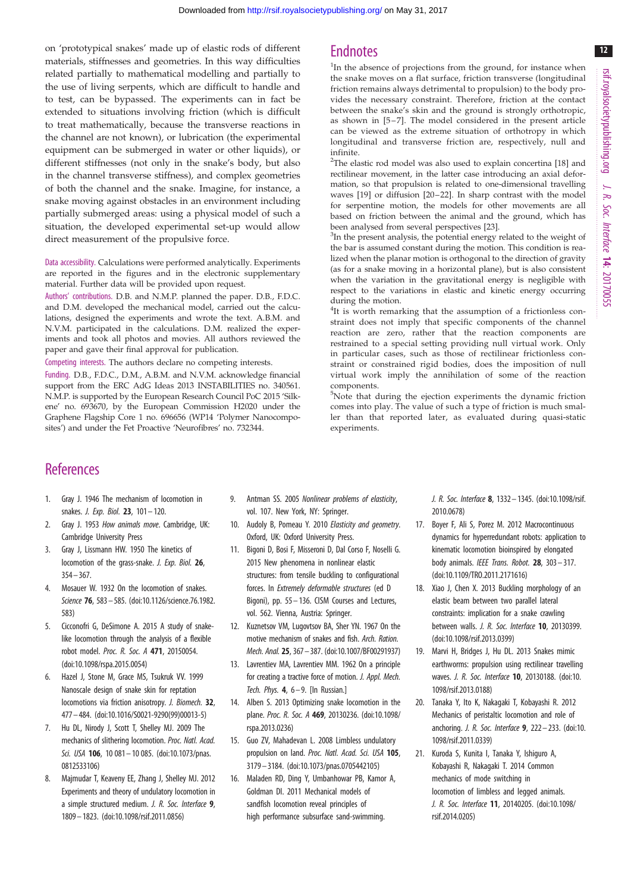<span id="page-11-0"></span>on 'prototypical snakes' made up of elastic rods of different materials, stiffnesses and geometries. In this way difficulties related partially to mathematical modelling and partially to the use of living serpents, which are difficult to handle and to test, can be bypassed. The experiments can in fact be extended to situations involving friction (which is difficult to treat mathematically, because the transverse reactions in the channel are not known), or lubrication (the experimental equipment can be submerged in water or other liquids), or different stiffnesses (not only in the snake's body, but also in the channel transverse stiffness), and complex geometries of both the channel and the snake. Imagine, for instance, a snake moving against obstacles in an environment including partially submerged areas: using a physical model of such a situation, the developed experimental set-up would allow direct measurement of the propulsive force.

Data accessibility. Calculations were performed analytically. Experiments are reported in the figures and in the electronic supplementary material. Further data will be provided upon request.

Authors' contributions. D.B. and N.M.P. planned the paper. D.B., F.D.C. and D.M. developed the mechanical model, carried out the calculations, designed the experiments and wrote the text. A.B.M. and N.V.M. participated in the calculations. D.M. realized the experiments and took all photos and movies. All authors reviewed the paper and gave their final approval for publication.

Competing interests. The authors declare no competing interests.

Funding. D.B., F.D.C., D.M., A.B.M. and N.V.M. acknowledge financial support from the ERC AdG Ideas 2013 INSTABILITIES no. 340561. N.M.P. is supported by the European Research Council PoC 2015 'Silkene' no. 693670, by the European Commission H2020 under the Graphene Flagship Core 1 no. 696656 (WP14 'Polymer Nanocomposites') and under the Fet Proactive 'Neurofibres' no. 732344.

## **Endnotes**

<sup>1</sup>In the absence of projections from the ground, for instance when the snake moves on a flat surface, friction transverse (longitudinal friction remains always detrimental to propulsion) to the body provides the necessary constraint. Therefore, friction at the contact between the snake's skin and the ground is strongly orthotropic, as shown in  $[5-7]$ . The model considered in the present article can be viewed as the extreme situation of orthotropy in which longitudinal and transverse friction are, respectively, null and infinite.

<sup>2</sup>The elastic rod model was also used to explain concertina [18] and rectilinear movement, in the latter case introducing an axial deformation, so that propulsion is related to one-dimensional travelling waves [19] or diffusion [20–22]. In sharp contrast with the model for serpentine motion, the models for other movements are all based on friction between the animal and the ground, which has been analysed from several perspectives [\[23](#page-12-0)].

 $3$ In the present analysis, the potential energy related to the weight of the bar is assumed constant during the motion. This condition is realized when the planar motion is orthogonal to the direction of gravity (as for a snake moving in a horizontal plane), but is also consistent when the variation in the gravitational energy is negligible with respect to the variations in elastic and kinetic energy occurring during the motion.

<sup>4</sup>It is worth remarking that the assumption of a frictionless constraint does not imply that specific components of the channel reaction are zero, rather that the reaction components are restrained to a special setting providing null virtual work. Only in particular cases, such as those of rectilinear frictionless constraint or constrained rigid bodies, does the imposition of null virtual work imply the annihilation of some of the reaction components.

5 Note that during the ejection experiments the dynamic friction comes into play. The value of such a type of friction is much smaller than that reported later, as evaluated during quasi-static experiments.

## **References**

- 1. Gray J. 1946 The mechanism of locomotion in snakes. J. Exp. Biol. 23, 101– 120.
- 2. Gray J. 1953 How animals move. Cambridge, UK: Cambridge University Press
- 3. Gray J, Lissmann HW. 1950 The kinetics of locomotion of the grass-snake. J. Exp. Biol. 26, 354– 367.
- 4. Mosauer W. 1932 On the locomotion of snakes. Science 76, 583– 585. [\(doi:10.1126/science.76.1982.](http://dx.doi.org/10.1126/science.76.1982.583) [583](http://dx.doi.org/10.1126/science.76.1982.583))
- 5. Cicconofri G, DeSimone A. 2015 A study of snakelike locomotion through the analysis of a flexible robot model. Proc. R. Soc. A 471, 20150054. [\(doi:10.1098/rspa.2015.0054\)](http://dx.doi.org/10.1098/rspa.2015.0054)
- 6. Hazel J, Stone M, Grace MS, Tsukruk VV. 1999 Nanoscale design of snake skin for reptation locomotions via friction anisotropy. J. Biomech. 32, 477– 484. ([doi:10.1016/S0021-9290\(99\)00013-5\)](http://dx.doi.org/10.1016/S0021-9290(99)00013-5)
- 7. Hu DL, Nirody J, Scott T, Shelley MJ. 2009 The mechanics of slithering locomotion. Proc. Natl. Acad. Sci. USA 106, 10 081 - 10 085. [\(doi:10.1073/pnas.](http://dx.doi.org/10.1073/pnas.0812533106) [0812533106\)](http://dx.doi.org/10.1073/pnas.0812533106)
- 8. Majmudar T, Keaveny EE, Zhang J, Shelley MJ. 2012 Experiments and theory of undulatory locomotion in a simple structured medium. J. R. Soc. Interface 9, 1809 – 1823. [\(doi:10.1098/rsif.2011.0856](http://dx.doi.org/10.1098/rsif.2011.0856))
- Antman SS. 2005 Nonlinear problems of elasticity, vol. 107. New York, NY: Springer.
- 10. Audoly B, Pomeau Y. 2010 Elasticity and geometry. Oxford, UK: Oxford University Press.
- 11. Bigoni D, Bosi F, Misseroni D, Dal Corso F, Noselli G. 2015 New phenomena in nonlinear elastic structures: from tensile buckling to configurational forces. In Extremely deformable structures (ed D Bigoni), pp. 55– 136. CISM Courses and Lectures, vol. 562. Vienna, Austria: Springer.
- 12. Kuznetsov VM, Lugovtsov BA, Sher YN. 1967 On the motive mechanism of snakes and fish. Arch. Ration. Mech. Anal. 25, 367–387. [\(doi:10.1007/BF00291937\)](http://dx.doi.org/10.1007/BF00291937)
- 13. Lavrentiev MA, Lavrentiev MM. 1962 On a principle for creating a tractive force of motion. J. Appl. Mech. Tech. Phys.  $4, 6-9$ . [In Russian.]
- 14. Alben S. 2013 Optimizing snake locomotion in the plane. Proc. R. Soc. A 469, 20130236. [\(doi:10.1098/](http://dx.doi.org/10.1098/rspa.2013.0236) [rspa.2013.0236\)](http://dx.doi.org/10.1098/rspa.2013.0236)
- 15. Guo ZV, Mahadevan L. 2008 Limbless undulatory propulsion on land. Proc. Natl. Acad. Sci. USA 105, 3179– 3184. [\(doi:10.1073/pnas.0705442105\)](http://dx.doi.org/10.1073/pnas.0705442105)
- 16. Maladen RD, Ding Y, Umbanhowar PB, Kamor A, Goldman DI. 2011 Mechanical models of sandfish locomotion reveal principles of high performance subsurface sand-swimming.

J. R. Soc. Interface 8, 1332 – 1345. [\(doi:10.1098/rsif.](http://dx.doi.org/10.1098/rsif.2010.0678) [2010.0678](http://dx.doi.org/10.1098/rsif.2010.0678))

- 17. Boyer F, Ali S, Porez M. 2012 Macrocontinuous dynamics for hyperredundant robots: application to kinematic locomotion bioinspired by elongated body animals. IEEE Trans. Robot. 28, 303-317. ([doi:10.1109/TRO.2011.2171616](http://dx.doi.org/10.1109/TRO.2011.2171616))
- 18. Xiao J, Chen X. 2013 Buckling morphology of an elastic beam between two parallel lateral constraints: implication for a snake crawling between walls. J. R. Soc. Interface 10, 20130399. ([doi:10.1098/rsif.2013.0399](http://dx.doi.org/10.1098/rsif.2013.0399))
- 19. Marvi H, Bridges J, Hu DL. 2013 Snakes mimic earthworms: propulsion using rectilinear travelling waves. J. R. Soc. Interface 10, 20130188. ([doi:10.](http://dx.doi.org/10.1098/rsif.2013.0188) [1098/rsif.2013.0188](http://dx.doi.org/10.1098/rsif.2013.0188))
- 20. Tanaka Y, Ito K, Nakagaki T, Kobayashi R. 2012 Mechanics of peristaltic locomotion and role of anchoring. J. R. Soc. Interface 9, 222– 233. [\(doi:10.](http://dx.doi.org/10.1098/rsif.2011.0339) [1098/rsif.2011.0339](http://dx.doi.org/10.1098/rsif.2011.0339))
- 21. Kuroda S, Kunita I, Tanaka Y, Ishiguro A, Kobayashi R, Nakagaki T. 2014 Common mechanics of mode switching in locomotion of limbless and legged animals. J. R. Soc. Interface 11, 20140205. ([doi:10.1098/](http://dx.doi.org/10.1098/rsif.2014.0205) [rsif.2014.0205](http://dx.doi.org/10.1098/rsif.2014.0205))

rsif.royalsocietypublishing.org

J. R.Soc.

Interface

14: 20170055